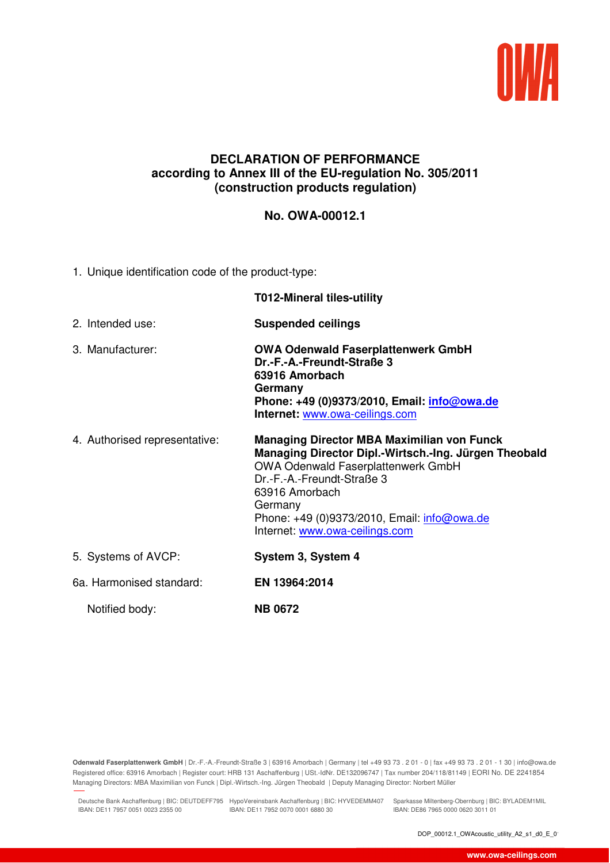

## **DECLARATION OF PERFORMANCE according to Annex III of the EU-regulation No. 305/2011 (construction products regulation)**

## **No. OWA-00012.1**

1. Unique identification code of the product-type:

|                               | <b>T012-Mineral tiles-utility</b>                                                                                                                                                                                                                                                                   |
|-------------------------------|-----------------------------------------------------------------------------------------------------------------------------------------------------------------------------------------------------------------------------------------------------------------------------------------------------|
| 2. Intended use:              | <b>Suspended ceilings</b>                                                                                                                                                                                                                                                                           |
| 3. Manufacturer:              | <b>OWA Odenwald Faserplattenwerk GmbH</b><br>Dr.-F.-A.-Freundt-Straße 3<br>63916 Amorbach<br>Germany<br>Phone: +49 (0)9373/2010, Email: <i>info@owa.de</i><br>Internet: www.owa-ceilings.com                                                                                                        |
| 4. Authorised representative: | <b>Managing Director MBA Maximilian von Funck</b><br>Managing Director Dipl.-Wirtsch.-Ing. Jürgen Theobald<br><b>OWA Odenwald Faserplattenwerk GmbH</b><br>Dr.-F.-A.-Freundt-Straße 3<br>63916 Amorbach<br>Germany<br>Phone: +49 (0)9373/2010, Email: info@owa.de<br>Internet: www.owa-ceilings.com |
| 5. Systems of AVCP:           | System 3, System 4                                                                                                                                                                                                                                                                                  |
| 6a. Harmonised standard:      | EN 13964:2014                                                                                                                                                                                                                                                                                       |
| Notified body:                | <b>NB 0672</b>                                                                                                                                                                                                                                                                                      |

**Odenwald Faserplattenwerk GmbH** | Dr.-F.-A.-Freundt-Straße 3 | 63916 Amorbach | Germany | tel +49 93 73 . 2 01 - 0 | fax +49 93 73 . 2 01 - 1 30 | info@owa.de Registered office: 63916 Amorbach | Register court: HRB 131 Aschaffenburg | USt.-IdNr. DE132096747 | Tax number 204/118/81149 | EORI No. DE 2241854 Managing Directors: MBA Maximilian von Funck | Dipl.-Wirtsch.-Ing. Jürgen Theobald | Deputy Managing Director: Norbert Müller

Deutsche Bank Aschaffenburg | BIC: DEUTDEFF795 HypoVereinsbank Aschaffenburg | BIC: HYVEDEMM407 Sparkasse Miltenberg-Obernburg | BIC: BYLADEM1MIL IBAN: DE11 7957 0051 0023 2355 00 IBAN: DE11 7952 0070 0001 6880 30

18.01.2019 10:45

IBAN: DE86 7965 0000 0620 3011 01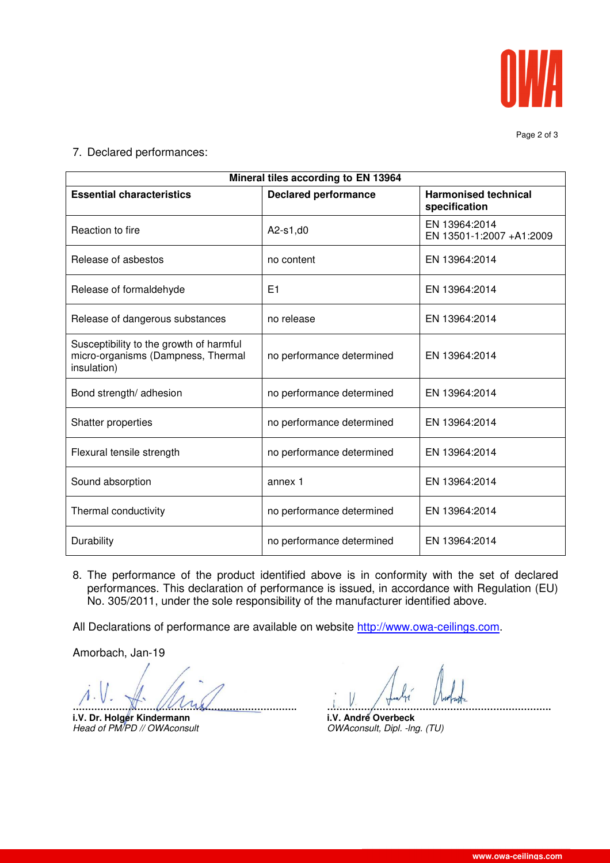

Page 2 of 3

7. Declared performances:

| Mineral tiles according to EN 13964                                                          |                             |                                              |  |
|----------------------------------------------------------------------------------------------|-----------------------------|----------------------------------------------|--|
| <b>Essential characteristics</b>                                                             | <b>Declared performance</b> | <b>Harmonised technical</b><br>specification |  |
| Reaction to fire                                                                             | $A2-s1, d0$                 | EN 13964:2014<br>EN 13501-1:2007 +A1:2009    |  |
| Release of asbestos                                                                          | no content                  | EN 13964:2014                                |  |
| Release of formaldehyde                                                                      | E1                          | EN 13964:2014                                |  |
| Release of dangerous substances                                                              | no release                  | EN 13964:2014                                |  |
| Susceptibility to the growth of harmful<br>micro-organisms (Dampness, Thermal<br>insulation) | no performance determined   | EN 13964:2014                                |  |
| Bond strength/ adhesion                                                                      | no performance determined   | EN 13964:2014                                |  |
| Shatter properties                                                                           | no performance determined   | EN 13964:2014                                |  |
| Flexural tensile strength                                                                    | no performance determined   | EN 13964:2014                                |  |
| Sound absorption                                                                             | annex 1                     | EN 13964:2014                                |  |
| Thermal conductivity                                                                         | no performance determined   | EN 13964:2014                                |  |
| Durability                                                                                   | no performance determined   | EN 13964:2014                                |  |

8. The performance of the product identified above is in conformity with the set of declared performances. This declaration of performance is issued, in accordance with Regulation (EU) No. 305/2011, under the sole responsibility of the manufacturer identified above.

All Declarations of performance are available on website http://www.owa-ceilings.com.

Amorbach, Jan-19

**………………………………………………………………. ……………………………………………………………….**

**i.V. Dr. Holger Kindermann i.V. André Overbeck i.V. André Overbeck i.** Head of PM/PD // OWAconsult **industry** 

OWAconsult, Dipl. -lng. (TU)